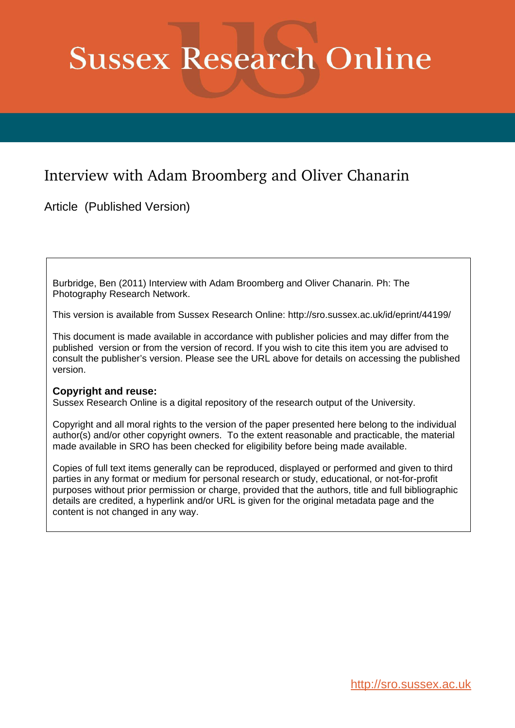# **Sussex Research Online**

## Interview with Adam Broomberg and Oliver Chanarin

Article (Published Version)

Burbridge, Ben (2011) Interview with Adam Broomberg and Oliver Chanarin. Ph: The Photography Research Network.

This version is available from Sussex Research Online: http://sro.sussex.ac.uk/id/eprint/44199/

This document is made available in accordance with publisher policies and may differ from the published version or from the version of record. If you wish to cite this item you are advised to consult the publisher's version. Please see the URL above for details on accessing the published version.

#### **Copyright and reuse:**

Sussex Research Online is a digital repository of the research output of the University.

Copyright and all moral rights to the version of the paper presented here belong to the individual author(s) and/or other copyright owners. To the extent reasonable and practicable, the material made available in SRO has been checked for eligibility before being made available.

Copies of full text items generally can be reproduced, displayed or performed and given to third parties in any format or medium for personal research or study, educational, or not-for-profit purposes without prior permission or charge, provided that the authors, title and full bibliographic details are credited, a hyperlink and/or URL is given for the original metadata page and the content is not changed in any way.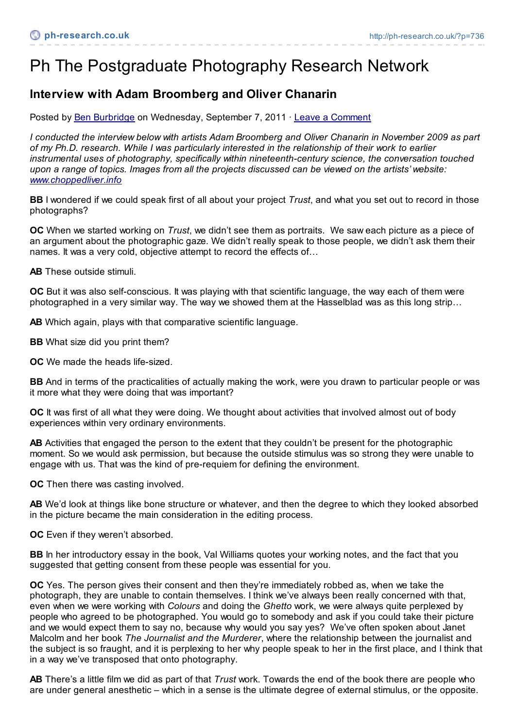## Ph The Postgraduate Photography Research Network

### **Interview with Adam Broomberg and Oliver Chanarin**

Posted by Ben [Burbridge](http://ph-research.co.uk/?author=1) on Wednesday, September 7, 2011 · Leave a [Comment](http://ph-research.co.uk/?p=736#comments)

*I conducted the interview below with artists Adam Broomberg and Oliver Chanarin in November 2009 as part of my Ph.D. research. While I was particularly interested in the relationship of their work to earlier instrumental uses of photography, specifically within nineteenth-century science, the conversation touched* upon a range of topics. Images from all the projects discussed can be viewed on the artists' website: *[www.choppedliver.info](http://www.choppedliver.info)*

**BB** I wondered if we could speak first of all about your project *Trust*, and what you set out to record in those photographs?

**OC** When we started working on *Trust*, we didn't see them as portraits. We saw each picture as a piece of an argument about the photographic gaze. We didn't really speak to those people, we didn't ask them their names. It was a very cold, objective attempt to record the effects of…

**AB** These outside stimuli.

**OC** But it was also self-conscious. It was playing with that scientific language, the way each of them were photographed in a very similar way. The way we showed them at the Hasselblad was as this long strip…

**AB** Which again, plays with that comparative scientific language.

**BB** What size did you print them?

**OC** We made the heads life-sized.

**BB** And in terms of the practicalities of actually making the work, were you drawn to particular people or was it more what they were doing that was important?

**OC** It was first of all what they were doing. We thought about activities that involved almost out of body experiences within very ordinary environments.

**AB** Activities that engaged the person to the extent that they couldn't be present for the photographic moment. So we would ask permission, but because the outside stimulus was so strong they were unable to engage with us. That was the kind of pre-requiem for defining the environment.

**OC** Then there was casting involved.

**AB** We'd look at things like bone structure or whatever, and then the degree to which they looked absorbed in the picture became the main consideration in the editing process.

**OC** Even if they weren't absorbed.

**BB** In her introductory essay in the book, Val Williams quotes your working notes, and the fact that you suggested that getting consent from these people was essential for you.

**OC** Yes. The person gives their consent and then they're immediately robbed as, when we take the photograph, they are unable to contain themselves. I think we've always been really concerned with that, even when we were working with *Colours* and doing the *Ghetto* work, we were always quite perplexed by people who agreed to be photographed. You would go to somebody and ask if you could take their picture and we would expect them to say no, because why would you say yes? We've often spoken about Janet Malcolm and her book *The Journalist and the Murderer*, where the relationship between the journalist and the subject is so fraught, and it is perplexing to her why people speak to her in the first place, and I think that in a way we've transposed that onto photography.

**AB** There's a little film we did as part of that *Trust* work. Towards the end of the book there are people who are under general anesthetic – which in a sense is the ultimate degree of external stimulus, or the opposite.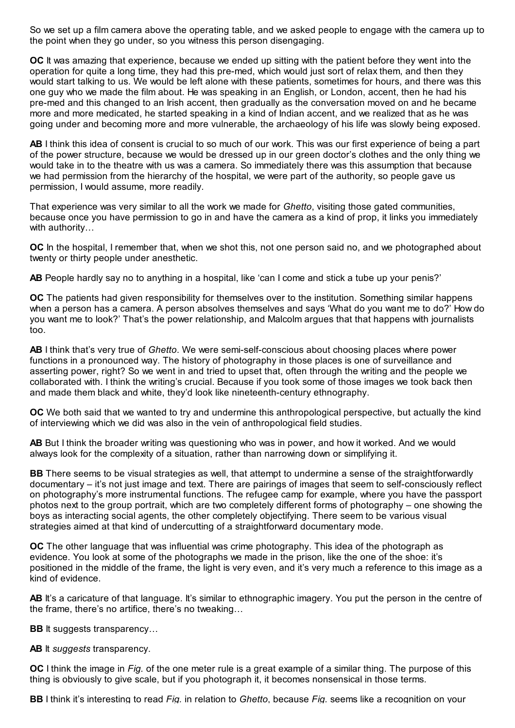So we set up a film camera above the operating table, and we asked people to engage with the camera up to the point when they go under, so you witness this person disengaging.

**OC** It was amazing that experience, because we ended up sitting with the patient before they went into the operation for quite a long time, they had this pre-med, which would just sort of relax them, and then they would start talking to us. We would be left alone with these patients, sometimes for hours, and there was this one guy who we made the film about. He was speaking in an English, or London, accent, then he had his pre-med and this changed to an Irish accent, then gradually as the conversation moved on and he became more and more medicated, he started speaking in a kind of Indian accent, and we realized that as he was going under and becoming more and more vulnerable, the archaeology of his life was slowly being exposed.

**AB** I think this idea of consent is crucial to so much of our work. This was our first experience of being a part of the power structure, because we would be dressed up in our green doctor's clothes and the only thing we would take in to the theatre with us was a camera. So immediately there was this assumption that because we had permission from the hierarchy of the hospital, we were part of the authority, so people gave us permission, I would assume, more readily.

That experience was very similar to all the work we made for *Ghetto*, visiting those gated communities, because once you have permission to go in and have the camera as a kind of prop, it links you immediately with authority…

**OC** In the hospital, I remember that, when we shot this, not one person said no, and we photographed about twenty or thirty people under anesthetic.

AB People hardly say no to anything in a hospital, like 'can I come and stick a tube up your penis?'

**OC** The patients had given responsibility for themselves over to the institution. Something similar happens when a person has a camera. A person absolves themselves and says 'What do you want me to do?' How do you want me to look?' That's the power relationship, and Malcolm argues that that happens with journalists too.

**AB** I think that's very true of *Ghetto*. We were semi-self-conscious about choosing places where power functions in a pronounced way. The history of photography in those places is one of surveillance and asserting power, right? So we went in and tried to upset that, often through the writing and the people we collaborated with. I think the writing's crucial. Because if you took some of those images we took back then and made them black and white, they'd look like nineteenth-century ethnography.

**OC** We both said that we wanted to try and undermine this anthropological perspective, but actually the kind of interviewing which we did was also in the vein of anthropological field studies.

**AB** But I think the broader writing was questioning who was in power, and how it worked. And we would always look for the complexity of a situation, rather than narrowing down or simplifying it.

**BB** There seems to be visual strategies as well, that attempt to undermine a sense of the straightforwardly documentary – it's not just image and text. There are pairings of images that seem to self-consciously reflect on photography's more instrumental functions. The refugee camp for example, where you have the passport photos next to the group portrait, which are two completely different forms of photography – one showing the boys as interacting social agents, the other completely objectifying. There seem to be various visual strategies aimed at that kind of undercutting of a straightforward documentary mode.

**OC** The other language that was influential was crime photography. This idea of the photograph as evidence. You look at some of the photographs we made in the prison, like the one of the shoe: it's positioned in the middle of the frame, the light is very even, and it's very much a reference to this image as a kind of evidence.

AB It's a caricature of that language. It's similar to ethnographic imagery. You put the person in the centre of the frame, there's no artifice, there's no tweaking…

**BB** It suggests transparency...

**AB** It *suggests* transparency.

**OC** I think the image in *Fig.* of the one meter rule is a great example of a similar thing. The purpose of this thing is obviously to give scale, but if you photograph it, it becomes nonsensical in those terms.

**BB** I think it's interesting to read *Fig.* in relation to *Ghetto*, because *Fig.* seems like a recognition on your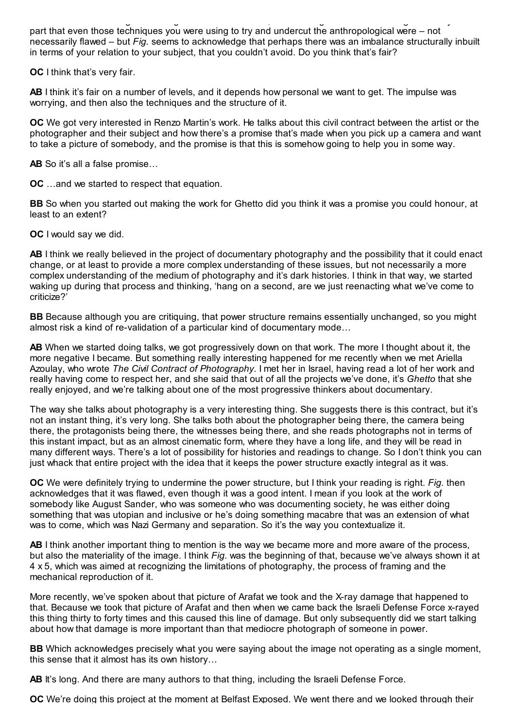**BB** I think it's interesting to read *Fig.* in relation to *Ghetto*, because *Fig.* seems like a recognition on your part that even those techniques you were using to try and undercut the anthropological were – not necessarily flawed – but *Fig.* seems to acknowledge that perhaps there was an imbalance structurally inbuilt in terms of your relation to your subject, that you couldn't avoid. Do you think that's fair?

**OC** I think that's very fair.

**AB** I think it's fair on a number of levels, and it depends how personal we want to get. The impulse was worrying, and then also the techniques and the structure of it.

**OC** We got very interested in Renzo Martin's work. He talks about this civil contract between the artist or the photographer and their subject and how there's a promise that's made when you pick up a camera and want to take a picture of somebody, and the promise is that this is somehow going to help you in some way.

**AB** So it's all a false promise…

**OC** …and we started to respect that equation.

**BB** So when you started out making the work for Ghetto did you think it was a promise you could honour, at least to an extent?

**OC** I would say we did.

**AB** I think we really believed in the project of documentary photography and the possibility that it could enact change, or at least to provide a more complex understanding of these issues, but not necessarily a more complex understanding of the medium of photography and it's dark histories. I think in that way, we started waking up during that process and thinking, 'hang on a second, are we just reenacting what we've come to criticize?'

**BB** Because although you are critiquing, that power structure remains essentially unchanged, so you might almost risk a kind of re-validation of a particular kind of documentary mode…

**AB** When we started doing talks, we got progressively down on that work. The more I thought about it, the more negative I became. But something really interesting happened for me recently when we met Ariella Azoulay, who wrote *The Civil Contract of Photography*. I met her in Israel, having read a lot of her work and really having come to respect her, and she said that out of all the projects we've done, it's *Ghetto* that she really enjoyed, and we're talking about one of the most progressive thinkers about documentary.

The way she talks about photography is a very interesting thing. She suggests there is this contract, but it's not an instant thing, it's very long. She talks both about the photographer being there, the camera being there, the protagonists being there, the witnesses being there, and she reads photographs not in terms of this instant impact, but as an almost cinematic form, where they have a long life, and they will be read in many different ways. There's a lot of possibility for histories and readings to change. So I don't think you can just whack that entire project with the idea that it keeps the power structure exactly integral as it was.

**OC** We were definitely trying to undermine the power structure, but I think your reading is right. *Fig.* then acknowledges that it was flawed, even though it was a good intent. I mean if you look at the work of somebody like August Sander, who was someone who was documenting society, he was either doing something that was utopian and inclusive or he's doing something macabre that was an extension of what was to come, which was Nazi Germany and separation. So it's the way you contextualize it.

**AB** I think another important thing to mention is the way we became more and more aware of the process, but also the materiality of the image. I think *Fig.* was the beginning of that, because we've always shown it at 4 x 5, which was aimed at recognizing the limitations of photography, the process of framing and the mechanical reproduction of it.

More recently, we've spoken about that picture of Arafat we took and the X-ray damage that happened to that. Because we took that picture of Arafat and then when we came back the Israeli Defense Force x-rayed this thing thirty to forty times and this caused this line of damage. But only subsequently did we start talking about how that damage is more important than that mediocre photograph of someone in power.

**BB** Which acknowledges precisely what you were saying about the image not operating as a single moment, this sense that it almost has its own history…

**AB** It's long. And there are many authors to that thing, including the Israeli Defense Force.

**OC** We're doing this project at the moment at Belfast Exposed. We went there and we looked through their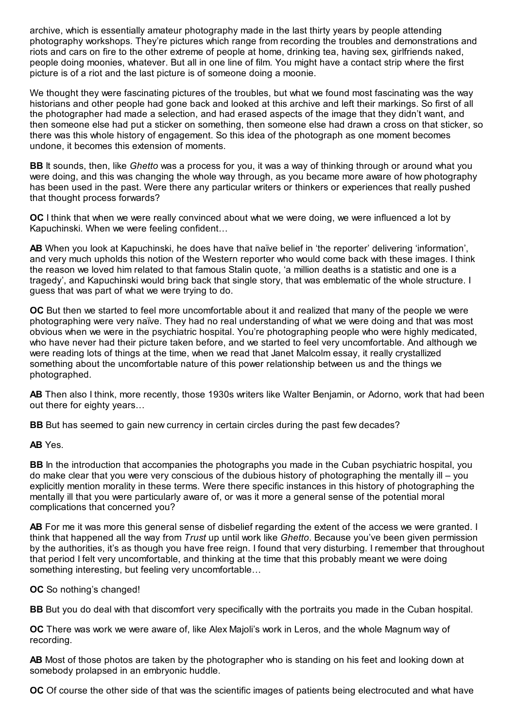archive, which is essentially amateur photography made in the last thirty years by people attending photography workshops. They're pictures which range from recording the troubles and demonstrations and riots and cars on fire to the other extreme of people at home, drinking tea, having sex, girlfriends naked, people doing moonies, whatever. But all in one line of film. You might have a contact strip where the first picture is of a riot and the last picture is of someone doing a moonie.

We thought they were fascinating pictures of the troubles, but what we found most fascinating was the way historians and other people had gone back and looked at this archive and left their markings. So first of all the photographer had made a selection, and had erased aspects of the image that they didn't want, and then someone else had put a sticker on something, then someone else had drawn a cross on that sticker, so there was this whole history of engagement. So this idea of the photograph as one moment becomes undone, it becomes this extension of moments.

**BB** It sounds, then, like *Ghetto* was a process for you, it was a way of thinking through or around what you were doing, and this was changing the whole way through, as you became more aware of how photography has been used in the past. Were there any particular writers or thinkers or experiences that really pushed that thought process forwards?

**OC** I think that when we were really convinced about what we were doing, we were influenced a lot by Kapuchinski. When we were feeling confident…

**AB** When you look at Kapuchinski, he does have that naïve belief in 'the reporter' delivering 'information', and very much upholds this notion of the Western reporter who would come back with these images. I think the reason we loved him related to that famous Stalin quote, 'a million deaths is a statistic and one is a tragedy', and Kapuchinski would bring back that single story, that was emblematic of the whole structure. I guess that was part of what we were trying to do.

**OC** But then we started to feel more uncomfortable about it and realized that many of the people we were photographing were very naïve. They had no real understanding of what we were doing and that was most obvious when we were in the psychiatric hospital. You're photographing people who were highly medicated, who have never had their picture taken before, and we started to feel very uncomfortable. And although we were reading lots of things at the time, when we read that Janet Malcolm essay, it really crystallized something about the uncomfortable nature of this power relationship between us and the things we photographed.

**AB** Then also I think, more recently, those 1930s writers like Walter Benjamin, or Adorno, work that had been out there for eighty years…

**BB** But has seemed to gain new currency in certain circles during the past few decades?

**AB** Yes.

**BB** In the introduction that accompanies the photographs you made in the Cuban psychiatric hospital, you do make clear that you were very conscious of the dubious history of photographing the mentally ill – you explicitly mention morality in these terms. Were there specific instances in this history of photographing the mentally ill that you were particularly aware of, or was it more a general sense of the potential moral complications that concerned you?

**AB** For me it was more this general sense of disbelief regarding the extent of the access we were granted. I think that happened all the way from *Trust* up until work like *Ghetto*. Because you've been given permission by the authorities, it's as though you have free reign. I found that very disturbing. I remember that throughout that period I felt very uncomfortable, and thinking at the time that this probably meant we were doing something interesting, but feeling very uncomfortable…

**OC** So nothing's changed!

**BB** But you do deal with that discomfort very specifically with the portraits you made in the Cuban hospital.

**OC** There was work we were aware of, like Alex Majoli's work in Leros, and the whole Magnum way of recording.

**AB** Most of those photos are taken by the photographer who is standing on his feet and looking down at somebody prolapsed in an embryonic huddle.

**OC** Of course the other side of that was the scientific images of patients being electrocuted and what have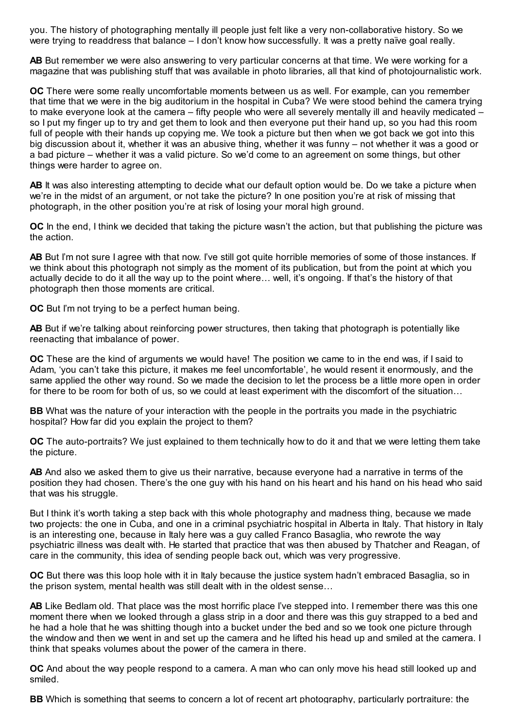you. The history of photographing mentally ill people just felt like a very non-collaborative history. So we were trying to readdress that balance – I don't know how successfully. It was a pretty naïve goal really.

**AB** But remember we were also answering to very particular concerns at that time. We were working for a magazine that was publishing stuff that was available in photo libraries, all that kind of photojournalistic work.

**OC** There were some really uncomfortable moments between us as well. For example, can you remember that time that we were in the big auditorium in the hospital in Cuba? We were stood behind the camera trying to make everyone look at the camera – fifty people who were all severely mentally ill and heavily medicated – so I put my finger up to try and get them to look and then everyone put their hand up, so you had this room full of people with their hands up copying me. We took a picture but then when we got back we got into this big discussion about it, whether it was an abusive thing, whether it was funny – not whether it was a good or a bad picture – whether it was a valid picture. So we'd come to an agreement on some things, but other things were harder to agree on.

**AB** It was also interesting attempting to decide what our default option would be. Do we take a picture when we're in the midst of an argument, or not take the picture? In one position you're at risk of missing that photograph, in the other position you're at risk of losing your moral high ground.

**OC** In the end, I think we decided that taking the picture wasn't the action, but that publishing the picture was the action.

**AB** But I'm not sure I agree with that now. I've still got quite horrible memories of some of those instances. If we think about this photograph not simply as the moment of its publication, but from the point at which you actually decide to do it all the way up to the point where… well, it's ongoing. If that's the history of that photograph then those moments are critical.

**OC** But I'm not trying to be a perfect human being.

**AB** But if we're talking about reinforcing power structures, then taking that photograph is potentially like reenacting that imbalance of power.

**OC** These are the kind of arguments we would have! The position we came to in the end was, if I said to Adam, 'you can't take this picture, it makes me feel uncomfortable', he would resent it enormously, and the same applied the other way round. So we made the decision to let the process be a little more open in order for there to be room for both of us, so we could at least experiment with the discomfort of the situation…

**BB** What was the nature of your interaction with the people in the portraits you made in the psychiatric hospital? How far did you explain the project to them?

**OC** The auto-portraits? We just explained to them technically how to do it and that we were letting them take the picture.

**AB** And also we asked them to give us their narrative, because everyone had a narrative in terms of the position they had chosen. There's the one guy with his hand on his heart and his hand on his head who said that was his struggle.

But I think it's worth taking a step back with this whole photography and madness thing, because we made two projects: the one in Cuba, and one in a criminal psychiatric hospital in Alberta in Italy. That history in Italy is an interesting one, because in Italy here was a guy called Franco Basaglia, who rewrote the way psychiatric illness was dealt with. He started that practice that was then abused by Thatcher and Reagan, of care in the community, this idea of sending people back out, which was very progressive.

**OC** But there was this loop hole with it in Italy because the justice system hadn't embraced Basaglia, so in the prison system, mental health was still dealt with in the oldest sense…

**AB** Like Bedlam old. That place was the most horrific place I've stepped into. I remember there was this one moment there when we looked through a glass strip in a door and there was this guy strapped to a bed and he had a hole that he was shitting though into a bucket under the bed and so we took one picture through the window and then we went in and set up the camera and he lifted his head up and smiled at the camera. I think that speaks volumes about the power of the camera in there.

**OC** And about the way people respond to a camera. A man who can only move his head still looked up and smiled.

**BB** Which is something that seems to concern a lot of recent art photography, particularly portraiture: the